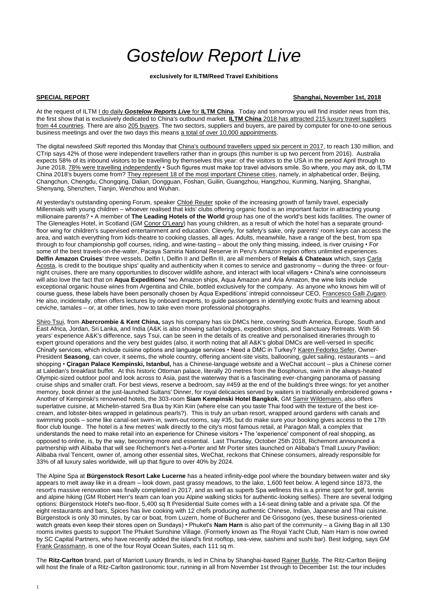1

## *Gostelow Report Live*

**exclusively for ILTM/Reed Travel Exhibitions**

At the request of ILTM I do daily *Gostelow Reports Live* for **ILTM China**. Today and tomorrow you will find insider news from this, the first show that is exclusively dedicated to China's outbound market. **ILTM China** 2018 has attracted 215 luxury travel suppliers from 44 countries. There are also 205 buyers. The two sectors, suppliers and buyers, are paired by computer for one-to-one serious business meetings and over the two days this means a total of over 10,000 appointments.

## **SPECIAL REPORT Shanghai, November 1st, 2018**

The digital newsfeed *Skift* reported this Monday that China's outbound travellers upped six percent in 2017, to reach 130 million, and CTrip says 42% of those were independent travellers rather than in groups (this number is up two percent from 2016). Australia expects 58% of its inbound visitors to be travelling by themselves this year: of the visitors to the USA in the period April through to June 2018, 78% were travelling independently • Such figures must make top travel advisors smile. So where, you may ask, do ILTM China 2018's buyers come from? They represent 18 of the most important Chinese cities, namely, in alphabetical order, Beijing, Changchun, Chengdu, Chongqing, Dalian, Dongguan, Foshan, Guilin, Guangzhou, Hangzhou, Kunming, Nanjing, Shanghai, Shenyang, Shenzhen, Tianjin, Wenzhou and Wuhan.

At yesterday's outstanding opening Forum, speaker Chloé Reuter spoke of the increasing growth of family travel, especially Millennials with young children – whoever realised that kids' clubs offering organic food is an important factor in attracting young millionaire parents? • A member of **The Leading Hotels of the World** group has one of the world's best kids facilities. The owner of The Gleneagles Hotel, in Scotland (GM Conor O'Leary) has young children, as a result of which the hotel has a separate groundfloor wing for children's supervised entertainment and education. Cleverly, for safety's sake, only parents' room keys can access the area, and watch everything from kids-theatre to cooking classes, all ages. Adults, meanwhile, have a range of the best, from spa through to four championship golf courses, riding, and wine-tasting – about the only thing missing, indeed, is river cruising • For some of the best travels-on-the-water, Pacaya Samiria National Reserve in Peru's Amazon region offers unlimited experiences. **Delfin Amazon Cruises**' three vessels, Delfin I, Delfin II and Delfin III, are all members of **Relais & Chateaux** which, says Carla Acosta, is credit to the boutique ships' quality and authenticity when it comes to service and gastronomy – during the three- or fournight cruises, there are many opportunities to discover wildlife ashore, and interact with local villagers • China's wine connoisseurs will also love the fact that on **Aqua Expeditions**' two Amazon ships, Aqua Amazon and Aria Amazon, the wine lists include exceptional organic house wines from Argentina and Chile, bottled exclusively for the company. As anyone who knows him will of course guess, these labels have been personally chosen by Aqua Expeditions' intrepid connoisseur CEO, Francesco Galli Zugaro. He also, incidentally, often offers lectures by onboard experts, to guide passengers in identifying exotic fruits and learning about ceviche, tamales – or, at other times, how to take even more professional photographs.

Shiro Tsui, from **Abercrombie & Kent China,** says his company has six DMCs here, covering South America, Europe, South and East Africa, Jordan, Sri Lanka, and India (A&K is also showing safari lodges, expedition ships, and Sanctuary Retreats. With 56 years' experience A&K's difference, says Tsui, can be seen in the details of its creative and personalised itineraries through to expert ground operations and the very best guides (also, it worth noting that all A&K's global DMCs are well-versed in specific Chinafy services, which include cuisine options and language services • Need a DMC in Turkey? Karen Fedorko Sefer, Owner-President **Seasong**, can cover, it seems, the whole country, offering ancient-site visits, ballooning, gulet sailing, restaurants – and shopping • **Çiragan Palace Kempinski, Istanbul,** has a Chinese-language website and a WeChat account – plus a Chinese corner at Laledan's breakfast buffet. At this historic Ottoman palace, literally 20 metres from the Bosphorus, swim in the always-heated Olympic-sized outdoor pool and look across to Asia, past the waterway that is a fascinating ever-changing panorama of passing cruise ships and smaller craft. For best views, reserve a bedroom, say #459 at the end of the building's three wings: for yet another memory, book dinner at the just-launched Sultans' Dinner, for royal delicacies served by waiters in traditionally embroidered gowns • Another of Kempinski's renowned hotels, the 303-room **Siam Kempinski Hotel Bangkok**, GM Samir Wildemann, also offers superlative cuisine, at Michelin-starred Sra Bua by Kiin Kiin (where else can you taste Thai food with the texture of the best icecream, and lobster-bites wrapped in gelatinous pearls?). This is truly an urban resort, wrapped around gardens with canals and swimming pools – some like canal-set swim-in, swim-out rooms, say #35, but do make sure your booking gives access to the 17th floor club lounge. The hotel is a few metres' walk directly to the city's most famous retail, at Paragon Mall, a complex that understands the need to make retail into an experience for Chinese visitors • The 'experience' component of real shopping, as opposed to online, is, by the way, becoming more and essential. Last Thursday, October 25th 2018, Richemont announced a partnership with Alibaba that will see Richemont's Net-a-Porter and Mr Porter sites launched on Alibaba's Tmall Luxury Pavilion: Alibaba rival Tencent, owner of, among other essential sites, WeChat, reckons that Chinese consumers, already responsible for 33% of all luxury sales worldwide, will up that figure to over 40% by 2024.

The Alpine Spa at **Bürgenstock Resort Lake Lucerne** has a heated infinity-edge pool where the boundary between water and sky appears to melt away like in a dream – look down, past grassy meadows, to the lake, 1,600 feet below. A legend since 1873, the resort's massive renovation was finally completed in 2017, and as well as superb Spa wellness this is a prime spot for golf, tennis and alpine hiking (GM Robert Herr's team can loan you Alpine walking sticks for authentic-looking selfies). There are several lodging options: Bürgenstock Hotel's two-floor, 5,400 sq ft Presidential Suite comes with a 14-seat dining table and a private spa. Of the eight restaurants and bars, Spices has live cooking with 12 chefs producing authentic Chinese, Indian, Japanese and Thai cuisine. Bürgenstock is only 30 minutes, by car or boat, from Luzern, home of Bucherer and De Grisogono (yes, these business-oriented watch greats even keep their stores open on Sundays) • Phuket's **Nam Harn** is also part of the community – a Giving Bag in all 130 rooms invites guests to support The Phuket Sunshine Village. (Formerly known as The Royal Yacht Club, Nam Harn is now owned by SC Capital Partners, who have recently added the island's first rooftop, sea-view, sashimi and sushi bar). Best lodging, says GM Frank Grassmann, is one of the four Royal Ocean Suites, each 111 sq m.

The **Ritz-Carlton** brand, part of Marriott Luxury Brands, is led in China by Shanghai-based Rainer Burkle. The Ritz-Carlton Beijing will host the finale of a Ritz-Carlton gastronomic tour, running in all from November 1st through to December 1st: the tour includes